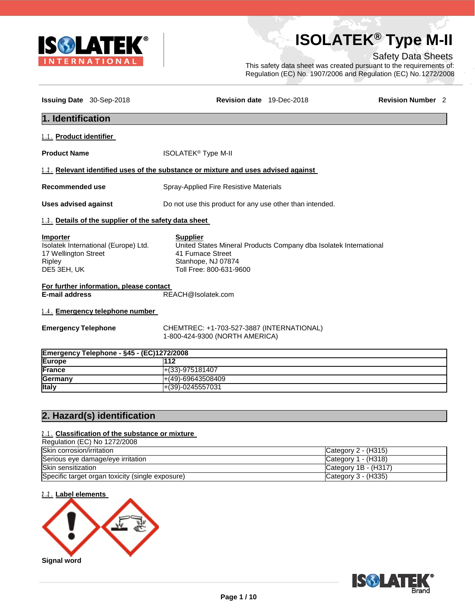

# **ISOLATEK® Type M-II**

#### Safety Data Sheets

This safety data sheet was created pursuant to the requirements of: Regulation (EC) No. 1907/2006 and Regulation (EC) No.1272/2008

| Issuing Date 30-Sep-2018                                         |                                                       | Revision date 19-Dec-2018                                                                                                                                  | <b>Revision Number 2</b> |  |
|------------------------------------------------------------------|-------------------------------------------------------|------------------------------------------------------------------------------------------------------------------------------------------------------------|--------------------------|--|
| 1. Identification                                                |                                                       |                                                                                                                                                            |                          |  |
| 1.1. Product identifier                                          |                                                       |                                                                                                                                                            |                          |  |
| <b>Product Name</b>                                              |                                                       | <b>ISOLATEK<sup>®</sup> Type M-II</b>                                                                                                                      |                          |  |
|                                                                  |                                                       | 1.2. Relevant identified uses of the substance or mixture and uses advised against                                                                         |                          |  |
| <b>Recommended use</b>                                           |                                                       | Spray-Applied Fire Resistive Materials                                                                                                                     |                          |  |
| <b>Uses advised against</b>                                      |                                                       | Do not use this product for any use other than intended.                                                                                                   |                          |  |
|                                                                  | 1.3. Details of the supplier of the safety data sheet |                                                                                                                                                            |                          |  |
| <b>Importer</b><br>17 Wellington Street<br>Ripley<br>DE5 3EH, UK | Isolatek International (Europe) Ltd.                  | <b>Supplier</b><br>United States Mineral Products Company dba Isolatek International<br>41 Furnace Street<br>Stanhope, NJ 07874<br>Toll Free: 800-631-9600 |                          |  |
| <b>E-mail address</b>                                            | For further information, please contact               | REACH@Isolatek.com                                                                                                                                         |                          |  |
|                                                                  | 1.4. Emergency telephone number                       |                                                                                                                                                            |                          |  |
| <b>Emergency Telephone</b>                                       |                                                       | CHEMTREC: +1-703-527-3887 (INTERNATIONAL)<br>1-800-424-9300 (NORTH AMERICA)                                                                                |                          |  |
|                                                                  | Emergency Telephone - §45 - (EC)1272/2008             |                                                                                                                                                            |                          |  |
| <b>Europe</b>                                                    |                                                       | 112                                                                                                                                                        |                          |  |
| France                                                           |                                                       | $+(33)-975181407$                                                                                                                                          |                          |  |
| Germany                                                          |                                                       | $+(49)-69643508409$                                                                                                                                        |                          |  |
| <b>Italy</b>                                                     |                                                       | +(39)-0245557031                                                                                                                                           |                          |  |

#### **2. Hazard(s) identification**

#### **2 . 1 . Classification of the substance or mixture**

| Regulation (EC) No 1272/2008                     |                       |
|--------------------------------------------------|-----------------------|
| Skin corrosion/irritation                        | Category $2 - (H315)$ |
| Serious eye damage/eye irritation                | Category $1 - (H318)$ |
| Skin sensitization                               | Category 1B - (H317)  |
| Specific target organ toxicity (single exposure) | Category $3 - (H335)$ |

**2 . 2 . Label elements**



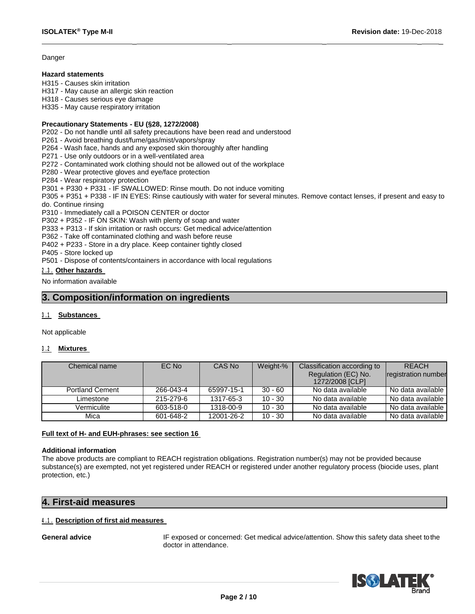#### **Danger**

#### **Hazard statements**

H315 - Causes skin irritation

H317 - May cause an allergic skin reaction

H318 - Causes serious eye damage

H335 - May cause respiratory irritation

#### **Precautionary Statements - EU (§28, 1272/2008)**

P202 - Do not handle until all safety precautions have been read and understood

P261 - Avoid breathing dust/fume/gas/mist/vapors/spray

P264 - Wash face, hands and any exposed skin thoroughly after handling

P271 - Use only outdoors or in a well-ventilated area

P272 - Contaminated work clothing should not be allowed out of the workplace

P280 - Wear protective gloves and eye/face protection

P284 - Wear respiratory protection

P301 + P330 + P331 - IF SWALLOWED: Rinse mouth. Do not induce vomiting

P305 + P351 + P338 - IF IN EYES: Rinse cautiously with water for several minutes. Remove contact lenses, if present and easy to do. Continue rinsing

 $\overline{\phantom{a}}$  , we can consider the constraint of the constraints of the constraints of the constraints of the constraints of the constraints of the constraints of the constraints of the constraints of the constraints of th

P310 - Immediately call a POISON CENTER or doctor

P302 + P352 - IF ON SKIN: Wash with plenty of soap and water

P333 + P313 - If skin irritation or rash occurs: Get medical advice/attention

P362 - Take off contaminated clothing and wash before reuse

P402 + P233 - Store in a dry place. Keep container tightly closed

P405 - Store locked up

P501 - Dispose of contents/containers in accordance with local regulations

#### **2 . 3 . Other hazards**

No information available

#### **3. Composition/information on ingredients**

#### **3 . 1 Substances**

Not applicable

#### **3 . 2 Mixtures**

| Chemical name          | EC No     | CAS No     | Weight-%  | Classification according to            | <b>REACH</b>        |
|------------------------|-----------|------------|-----------|----------------------------------------|---------------------|
|                        |           |            |           | Regulation (EC) No.<br>1272/2008 [CLP] | registration number |
| <b>Portland Cement</b> | 266-043-4 | 65997-15-1 | $30 - 60$ | No data available                      | No data available l |
| Limestone              | 215-279-6 | 1317-65-3  | $10 - 30$ | No data available                      | No data available   |
| Vermiculite            | 603-518-0 | 1318-00-9  | $10 - 30$ | No data available                      | No data available   |
| Mica                   | 601-648-2 | 12001-26-2 | $10 - 30$ | No data available                      | No data available   |

#### **Full text of H- and EUH-phrases: see section 16**

#### **Additional information**

The above products are compliant to REACH registration obligations. Registration number(s) may not be provided because substance(s) are exempted, not yet registered under REACH or registered under another regulatory process (biocide uses, plant protection, etc.)

#### **4. First-aid measures**

#### **4 . 1 . Description of first aid measures**

General advice **IF** exposed or concerned: Get medical advice/attention. Show this safety data sheet to the doctor in attendance.

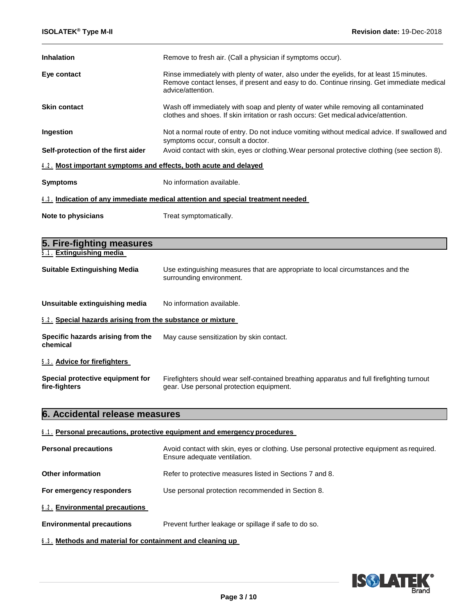| <b>Inhalation</b>                                                | Remove to fresh air. (Call a physician if symptoms occur).                                                                                                                                                 |  |
|------------------------------------------------------------------|------------------------------------------------------------------------------------------------------------------------------------------------------------------------------------------------------------|--|
| Eye contact                                                      | Rinse immediately with plenty of water, also under the eyelids, for at least 15 minutes.<br>Remove contact lenses, if present and easy to do. Continue rinsing. Get immediate medical<br>advice/attention. |  |
| <b>Skin contact</b>                                              | Wash off immediately with soap and plenty of water while removing all contaminated<br>clothes and shoes. If skin irritation or rash occurs: Get medical advice/attention.                                  |  |
| Ingestion                                                        | Not a normal route of entry. Do not induce vomiting without medical advice. If swallowed and<br>symptoms occur, consult a doctor.                                                                          |  |
| Self-protection of the first aider                               | Avoid contact with skin, eyes or clothing. Wear personal protective clothing (see section 8).                                                                                                              |  |
| 4.2. Most important symptoms and effects, both acute and delayed |                                                                                                                                                                                                            |  |
| <b>Symptoms</b>                                                  | No information available.                                                                                                                                                                                  |  |
|                                                                  | <u>4.3. Indication of any immediate medical attention and special treatment needed</u>                                                                                                                     |  |
| Note to physicians                                               | Treat symptomatically.                                                                                                                                                                                     |  |
| 5. Fire-fighting measures                                        |                                                                                                                                                                                                            |  |
| 5.1. Extinguishing media                                         |                                                                                                                                                                                                            |  |
| <b>Suitable Extinguishing Media</b>                              | Use extinguishing measures that are appropriate to local circumstances and the<br>surrounding environment.                                                                                                 |  |
| Unsuitable extinguishing media                                   | No information available.                                                                                                                                                                                  |  |
| 5.2. Special hazards arising from the substance or mixture       |                                                                                                                                                                                                            |  |
| Specific hazards arising from the<br>chemical                    | May cause sensitization by skin contact.                                                                                                                                                                   |  |
| 5.3. Advice for firefighters                                     |                                                                                                                                                                                                            |  |
| Special protective equipment for<br>fire-fighters                | Firefighters should wear self-contained breathing apparatus and full firefighting turnout<br>gear. Use personal protection equipment.                                                                      |  |
| 6. Accidental release measures                                   |                                                                                                                                                                                                            |  |

## **6 . 1 . Personal precautions, protective equipment and emergency procedures**

| <b>Personal precautions</b>                                                               | Avoid contact with skin, eyes or clothing. Use personal protective equipment as required.<br>Ensure adequate ventilation. |
|-------------------------------------------------------------------------------------------|---------------------------------------------------------------------------------------------------------------------------|
| Other information                                                                         | Refer to protective measures listed in Sections 7 and 8.                                                                  |
| For emergency responders<br>Use personal protection recommended in Section 8.             |                                                                                                                           |
| 6.2. Environmental precautions                                                            |                                                                                                                           |
| <b>Environmental precautions</b><br>Prevent further leakage or spillage if safe to do so. |                                                                                                                           |

**6 . 3 . Methods and material for containment and cleaning up**

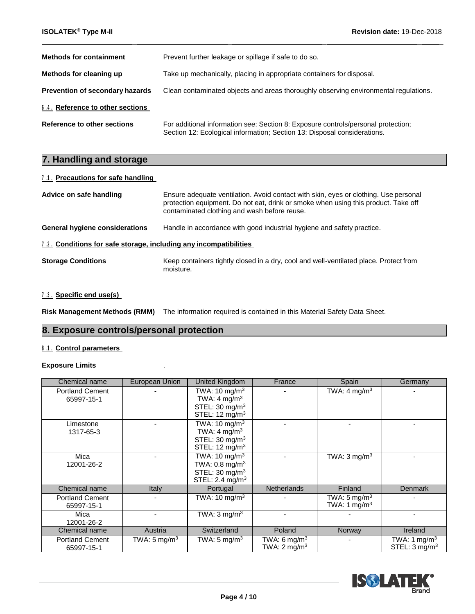| <b>Methods for containment</b>         | Prevent further leakage or spillage if safe to do so.                                                                                                         |
|----------------------------------------|---------------------------------------------------------------------------------------------------------------------------------------------------------------|
| Methods for cleaning up                | Take up mechanically, placing in appropriate containers for disposal.                                                                                         |
| <b>Prevention of secondary hazards</b> | Clean contaminated objects and areas thoroughly observing environmental regulations.                                                                          |
| 6.4. Reference to other sections       |                                                                                                                                                               |
| Reference to other sections            | For additional information see: Section 8: Exposure controls/personal protection;<br>Section 12: Ecological information; Section 13: Disposal considerations. |

\_ \_ \_ \_ \_

#### **7. Handling and storage**

#### **7 . 1 . Precautions for safe handling**

| Advice on safe handling                                                  | Ensure adequate ventilation. Avoid contact with skin, eyes or clothing. Use personal<br>protection equipment. Do not eat, drink or smoke when using this product. Take off<br>contaminated clothing and wash before reuse. |  |  |
|--------------------------------------------------------------------------|----------------------------------------------------------------------------------------------------------------------------------------------------------------------------------------------------------------------------|--|--|
| General hygiene considerations                                           | Handle in accordance with good industrial hygiene and safety practice.                                                                                                                                                     |  |  |
| <b>1.2. Conditions for safe storage, including any incompatibilities</b> |                                                                                                                                                                                                                            |  |  |
| <b>Storage Conditions</b>                                                | Keep containers tightly closed in a dry, cool and well-ventilated place. Protect from<br>moisture.                                                                                                                         |  |  |

#### **7 . 3 . Specific end use(s)**

**Risk Management Methods (RMM)** The information required is contained in this Material Safety Data Sheet.

#### **8. Exposure controls/personal protection**

#### **8 . 1 . Control parameters**

#### **Exposure Limits** .

| Chemical name                        | European Union           | <b>United Kingdom</b>                                                                                             | France                                       | Spain                                                | Germany                                              |
|--------------------------------------|--------------------------|-------------------------------------------------------------------------------------------------------------------|----------------------------------------------|------------------------------------------------------|------------------------------------------------------|
| <b>Portland Cement</b><br>65997-15-1 |                          | TWA: 10 mg/m $3$<br>TWA: $4 \text{ mg/m}^3$<br>STEL: $30 \text{ mg/m}^3$<br>STEL: 12 mg/m <sup>3</sup>            |                                              | TWA: 4 mg/m <sup>3</sup>                             |                                                      |
| Limestone<br>1317-65-3               |                          | TWA: $10 \text{ mg/m}^3$<br>TWA: $4 \text{ mg/m}^3$<br>STEL: 30 mg/m <sup>3</sup><br>STEL: $12 \text{ mg/m}^3$    |                                              |                                                      |                                                      |
| Mica<br>12001-26-2                   |                          | TWA: $10 \text{ mg/m}^3$<br>TWA: $0.8 \text{ mg/m}^3$<br>STEL: $30 \text{ mg/m}^3$<br>STEL: 2.4 mg/m <sup>3</sup> |                                              | TWA: $3 \text{ mg/m}^3$                              |                                                      |
| Chemical name                        | Italy                    | Portugal                                                                                                          | <b>Netherlands</b>                           | Finland                                              | Denmark                                              |
| <b>Portland Cement</b><br>65997-15-1 |                          | TWA: 10 mg/m <sup>3</sup>                                                                                         |                                              | TWA: 5 mg/m <sup>3</sup><br>TWA: 1 mg/m <sup>3</sup> |                                                      |
| Mica<br>12001-26-2                   |                          | TWA: $3 \text{ mg/m}^3$                                                                                           |                                              |                                                      |                                                      |
| Chemical name                        | Austria                  | Switzerland                                                                                                       | Poland                                       | Norway                                               | Ireland                                              |
| <b>Portland Cement</b><br>65997-15-1 | TWA: 5 mg/m <sup>3</sup> | TWA: 5 mg/m <sup>3</sup>                                                                                          | TWA: 6 mg/m <sup>3</sup><br>TWA: 2 mg/m $^3$ |                                                      | TWA: 1 mg/m <sup>3</sup><br>STEL: $3 \text{ mg/m}^3$ |

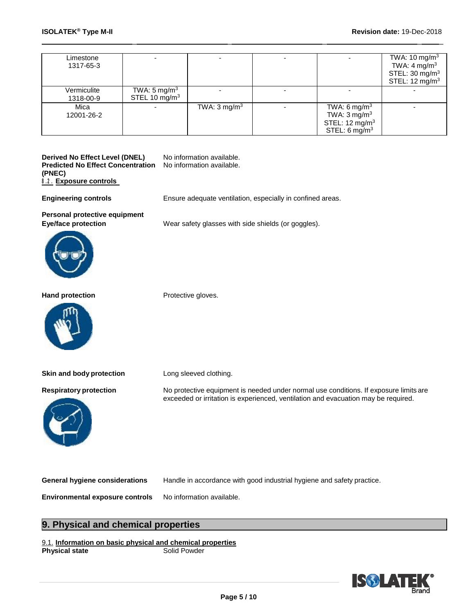| Limestone<br>1317-65-3   |                                            |                         |                                                                                                                | TWA: $10 \text{ mg/m}^3$<br>TWA: $4 \text{ mg/m}^3$<br>STEL: $30 \text{ mg/m}^3$<br>STEL: $12 \text{ mg/m}^3$ |
|--------------------------|--------------------------------------------|-------------------------|----------------------------------------------------------------------------------------------------------------|---------------------------------------------------------------------------------------------------------------|
| Vermiculite<br>1318-00-9 | TWA: $5 \text{ mg/m}^3$<br>STEL 10 $mg/m3$ |                         |                                                                                                                |                                                                                                               |
| Mica<br>12001-26-2       |                                            | TWA: $3 \text{ mg/m}^3$ | TWA: 6 mg/m <sup>3</sup><br>TWA: $3 \text{ mg/m}^3$<br>STEL: 12 mg/m <sup>3</sup><br>STEL: 6 mg/m <sup>3</sup> |                                                                                                               |

\_ \_ \_ \_ \_

**Derived No Effect Level (DNEL)** No information available. **Predicted No Effect Concentration (PNEC) 8 . 2 . Exposure controls** No information available.

**Engineering controls** Ensure adequate ventilation, especially in confined areas.

**Personal protective equipment**





Hand **protection Protective gloves.** 



**Skin and body protection** Long sleeved clothing.



**Respiratory protection** No protective equipment is needed under normal use conditions. If exposure limits are exceeded or irritation is experienced, ventilation and evacuation may be required.

**General hygiene considerations** Handle in accordance with good industrial hygiene and safety practice.

**Environmental exposure controls** No information available.

#### **9. Physical and chemical properties**

9.1. **Information on basic physical and chemical properties Physical state** 

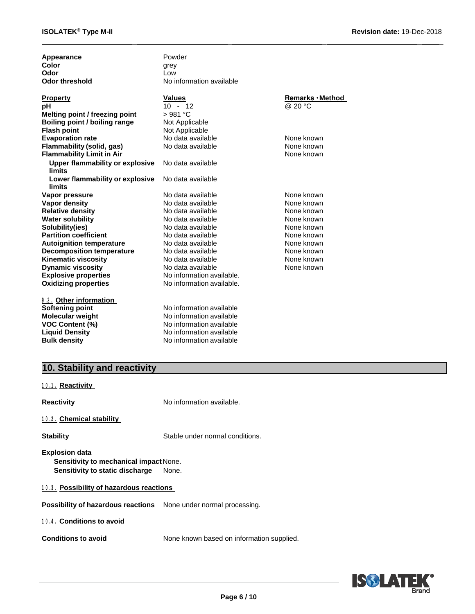\_ \_ \_ \_ \_

| Appearance<br>Color<br>Odor<br><b>Odor threshold</b>    | Powder<br>grey<br>Low<br>No information available |                  |
|---------------------------------------------------------|---------------------------------------------------|------------------|
| <b>Property</b>                                         | <b>Values</b>                                     | Remarks · Method |
| рH                                                      | $10 - 12$                                         | @ 20 °C          |
| Melting point / freezing point                          | >981 °C                                           |                  |
| Boiling point / boiling range                           | Not Applicable                                    |                  |
| <b>Flash point</b>                                      | Not Applicable                                    |                  |
| <b>Evaporation rate</b>                                 | No data available                                 | None known       |
| Flammability (solid, gas)                               | No data available                                 | None known       |
| <b>Flammability Limit in Air</b>                        |                                                   | None known       |
| <b>Upper flammability or explosive</b><br><b>limits</b> | No data available                                 |                  |
| Lower flammability or explosive<br>limits               | No data available                                 |                  |
| Vapor pressure                                          | No data available                                 | None known       |
| <b>Vapor density</b>                                    | No data available                                 | None known       |
| <b>Relative density</b>                                 | No data available                                 | None known       |
| <b>Water solubility</b>                                 | No data available                                 | None known       |
| Solubility(ies)                                         | No data available                                 | None known       |
| <b>Partition coefficient</b>                            | No data available                                 | None known       |
| <b>Autoignition temperature</b>                         | No data available                                 | None known       |
| <b>Decomposition temperature</b>                        | No data available                                 | None known       |
| Kinematic viscosity                                     | No data available                                 | None known       |
| <b>Dynamic viscosity</b>                                | No data available                                 | None known       |
| <b>Explosive properties</b>                             | No information available.                         |                  |
| <b>Oxidizing properties</b>                             | No information available.                         |                  |
| 9.2. Other information                                  |                                                   |                  |
| Softening point                                         | No information available                          |                  |
| <b>Molecular weight</b>                                 | No information available                          |                  |
| <b>VOC Content (%)</b>                                  | No information available                          |                  |
| <b>Liquid Density</b>                                   | No information available                          |                  |
| <b>Bulk density</b>                                     | No information available                          |                  |

### **10. Stability and reactivity**

**1 0 . 1 . Reactivity**

**Reactivity No information available.** 

#### **1 0 . 2 . Chemical stability**

**Stability** Stable under normal conditions.

**Explosion data Sensitivity to mechanical impact None. Sensitivity to static discharge** None.

**1 0 . 3 . Possibility of hazardous reactions**

**Possibility of hazardous reactions** None under normal processing.

#### **1 0 . 4 . Conditions to avoid**

**Conditions to avoid** None known based on information supplied.

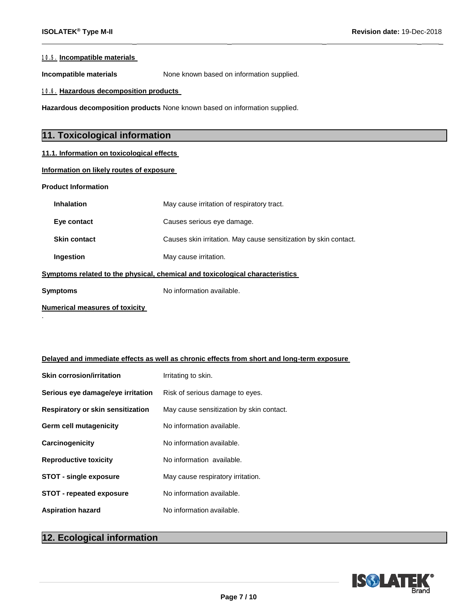$\overline{\phantom{a}}$  , we can consider the constant of the constant  $\overline{\phantom{a}}$  , we can constant  $\overline{\phantom{a}}$ 

#### **1 0 . 5 . Incompatible materials**

**Incompatible materials** None known based on information supplied.

**1 0 . 6 . Hazardous decomposition products**

**Hazardous decomposition products** None known based on information supplied.

#### **11. Toxicological information**

#### **11.1. Information on toxicological effects**

#### **Information on likely routes of exposure**

**Product Information**

| <b>Inhalation</b>                                                            | May cause irritation of respiratory tract.                       |  |  |
|------------------------------------------------------------------------------|------------------------------------------------------------------|--|--|
| Eye contact                                                                  | Causes serious eye damage.                                       |  |  |
| <b>Skin contact</b>                                                          | Causes skin irritation. May cause sensitization by skin contact. |  |  |
| Ingestion                                                                    | May cause irritation.                                            |  |  |
| Symptoms related to the physical, chemical and toxicological characteristics |                                                                  |  |  |
| Symptoms                                                                     | No information available.                                        |  |  |
|                                                                              |                                                                  |  |  |

**Numerical measures of toxicity**  .

#### **Delayed and immediate effects as well as chronic effects from short and long-term exposure**

| <b>Skin corrosion/irritation</b>  | Irritating to skin.                      |
|-----------------------------------|------------------------------------------|
| Serious eye damage/eye irritation | Risk of serious damage to eyes.          |
| Respiratory or skin sensitization | May cause sensitization by skin contact. |
| <b>Germ cell mutagenicity</b>     | No information available.                |
| Carcinogenicity                   | No information available.                |
| <b>Reproductive toxicity</b>      | No information available.                |
| <b>STOT - single exposure</b>     | May cause respiratory irritation.        |
| <b>STOT - repeated exposure</b>   | No information available.                |
| <b>Aspiration hazard</b>          | No information available.                |

### **12. Ecological information**

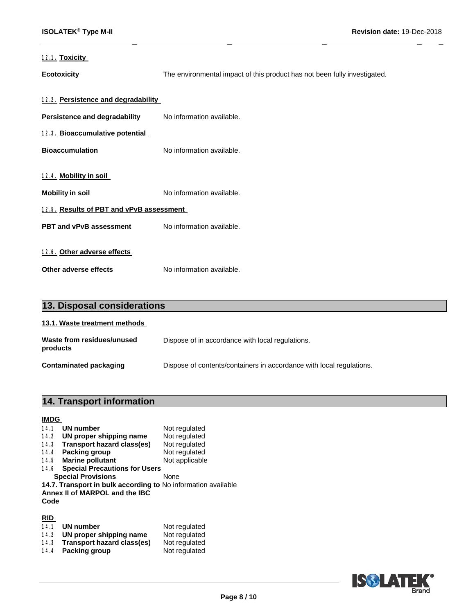#### **1 2 . 1 . Toxicity**

**Ecotoxicity** The environmental impact of this product has not been fully investigated.

 $\overline{\phantom{a}}$  , we can consider the constant of the constant  $\overline{\phantom{a}}$  , we can constant  $\overline{\phantom{a}}$ 

| <u>12.2. Persistence and degradability_</u> |                           |  |
|---------------------------------------------|---------------------------|--|
| Persistence and degradability               | No information available. |  |
| 12.3. Bioaccumulative potential             |                           |  |
| Bioaccumulation                             | No information available. |  |
|                                             |                           |  |
| <u>12.4. Mobility in soil </u>              |                           |  |
| Mobility in soil                            | No information available. |  |
| 12.5. Results of PBT and vPvB assessment    |                           |  |
| <b>PBT and vPvB assessment</b>              | No information available. |  |
|                                             |                           |  |
| 12.6. Other adverse effects                 |                           |  |
| Other adverse effects                       | No information available. |  |

| 13. Disposal considerations            |                                                                      |  |
|----------------------------------------|----------------------------------------------------------------------|--|
| 13.1. Waste treatment methods          |                                                                      |  |
| Waste from residues/unused<br>products | Dispose of in accordance with local regulations.                     |  |
| <b>Contaminated packaging</b>          | Dispose of contents/containers in accordance with local regulations. |  |

### **14. Transport information**

#### **IMDG**

| <b>UN number</b><br>14.1                                                                                | Not regulated  |  |
|---------------------------------------------------------------------------------------------------------|----------------|--|
| UN proper shipping name<br>14.2                                                                         | Not regulated  |  |
| <b>Transport hazard class(es)</b><br>14.3                                                               | Not regulated  |  |
| Packing group<br>14.4                                                                                   | Not regulated  |  |
| <b>Marine pollutant</b><br>14.5                                                                         | Not applicable |  |
| <b>Special Precautions for Users</b><br>14.6                                                            |                |  |
| <b>Special Provisions</b>                                                                               | None           |  |
| 14.7. Transport in bulk according to No information available<br>Annex II of MARPOL and the IBC<br>Code |                |  |

#### **RID**

| 14.1 | UN number                  | Not regulated |
|------|----------------------------|---------------|
| 14.2 | UN proper shipping name    | Not regulated |
| 14.3 | Transport hazard class(es) | Not regulated |
| 14.4 | Packing group              | Not regulated |

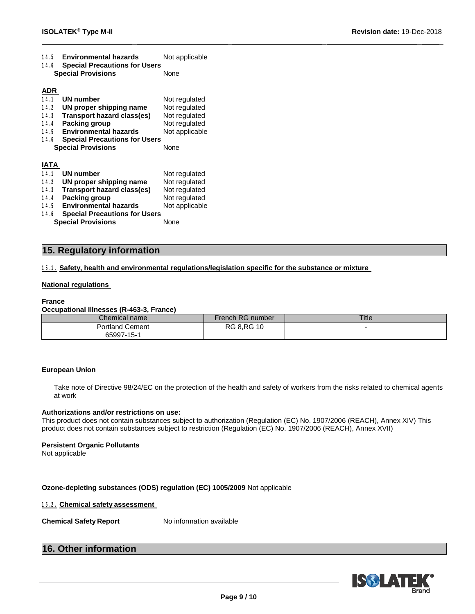| 14.5<br>Environmental nazards                | NOT applicable |
|----------------------------------------------|----------------|
| <b>Special Precautions for Users</b><br>14.6 |                |
| <b>Special Provisions</b>                    | None           |
|                                              |                |
| <b>ADR</b>                                   |                |
| 14.1<br>UN number                            | Not regulated  |
| 14.2<br>UN proper shipping name              | Not regulated  |
| Transport hazard class(es)<br>14.3           | Not regulated  |
| Packing group<br>14.4                        | Not regulated  |
| <b>Environmental hazards</b><br>14.5         | Not applicable |
| 14.6<br><b>Special Precautions for Users</b> |                |
| <b>Special Provisions</b>                    | None           |
|                                              |                |

**1 4 . 5 Environmental hazards** Not applicable

#### **IATA**

| <b>UN number</b><br>14.1  |                                      | Not regulated  |
|---------------------------|--------------------------------------|----------------|
| 14.2                      | UN proper shipping name              | Not regulated  |
| 14.3                      | <b>Transport hazard class(es)</b>    | Not regulated  |
| Packing group<br>14.4     |                                      | Not regulated  |
| 14.5                      | <b>Environmental hazards</b>         | Not applicable |
| 14.6                      | <b>Special Precautions for Users</b> |                |
| <b>Special Provisions</b> |                                      | None           |
|                           |                                      |                |

#### **15. Regulatory information**

**1 5 . 1 . Safety, health and environmental regulations/legislation specific for the substance or mixture**

#### **National regulations**

#### **France**

#### **Occupational Illnesses (R-463-3, France)**

| Chemical name          | French RG number  | <b>Title</b> |
|------------------------|-------------------|--------------|
| <b>Portland Cement</b> | <b>RG 8.RG 10</b> |              |
| 65997-15-1             |                   |              |

\_ \_ \_ \_ \_

#### **European Union**

Take note of Directive 98/24/EC on the protection of the health and safety of workers from the risks related to chemical agents at work

#### **Authorizations and/or restrictions on use:**

This product does not contain substances subject to authorization (Regulation (EC) No. 1907/2006 (REACH), Annex XIV) This product does not contain substances subject to restriction (Regulation (EC) No. 1907/2006 (REACH), Annex XVII)

#### **Persistent Organic Pollutants**

Not applicable

#### **Ozone-depleting substances (ODS) regulation (EC) 1005/2009** Not applicable

#### **1 5 . 2 . Chemical safety assessment**

**Chemical Safety Report** No information available

#### **16. Other information**